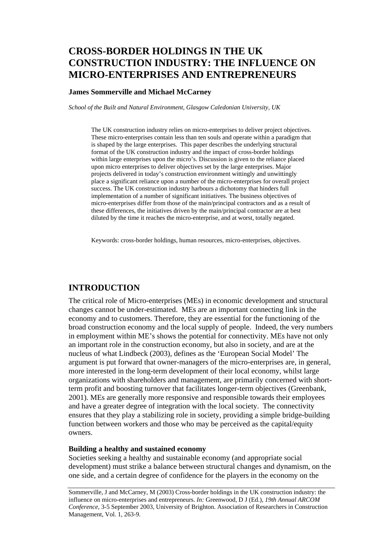## **CROSS-BORDER HOLDINGS IN THE UK CONSTRUCTION INDUSTRY: THE INFLUENCE ON MICRO-ENTERPRISES AND ENTREPRENEURS**

#### **James Sommerville and Michael McCarney**

*School of the Built and Natural Environment, Glasgow Caledonian University, UK* 

The UK construction industry relies on micro-enterprises to deliver project objectives. These micro-enterprises contain less than ten souls and operate within a paradigm that is shaped by the large enterprises. This paper describes the underlying structural format of the UK construction industry and the impact of cross-border holdings within large enterprises upon the micro's. Discussion is given to the reliance placed upon micro enterprises to deliver objectives set by the large enterprises. Major projects delivered in today's construction environment wittingly and unwittingly place a significant reliance upon a number of the micro-enterprises for overall project success. The UK construction industry harbours a dichotomy that hinders full implementation of a number of significant initiatives. The business objectives of micro-enterprises differ from those of the main/principal contractors and as a result of these differences, the initiatives driven by the main/principal contractor are at best diluted by the time it reaches the micro-enterprise, and at worst, totally negated.

Keywords: cross-border holdings, human resources, micro-enterprises, objectives.

### **INTRODUCTION**

The critical role of Micro-enterprises (MEs) in economic development and structural changes cannot be under-estimated. MEs are an important connecting link in the economy and to customers. Therefore, they are essential for the functioning of the broad construction economy and the local supply of people. Indeed, the very numbers in employment within ME's shows the potential for connectivity. MEs have not only an important role in the construction economy, but also in society, and are at the nucleus of what Lindbeck (2003), defines as the 'European Social Model' The argument is put forward that owner-managers of the micro-enterprises are, in general, more interested in the long-term development of their local economy, whilst large organizations with shareholders and management, are primarily concerned with shortterm profit and boosting turnover that facilitates longer-term objectives (Greenbank, 2001). MEs are generally more responsive and responsible towards their employees and have a greater degree of integration with the local society. The connectivity ensures that they play a stabilizing role in society, providing a simple bridge-building function between workers and those who may be perceived as the capital/equity owners.

#### **Building a healthy and sustained economy**

Societies seeking a healthy and sustainable economy (and appropriate social development) must strike a balance between structural changes and dynamism, on the one side, and a certain degree of confidence for the players in the economy on the

Sommerville, J and McCarney, M (2003) Cross-border holdings in the UK construction industry: the influence on micro-enterprises and entrepreneurs. *In:* Greenwood, D J (Ed.), *19th Annual ARCOM Conference*, 3-5 September 2003, University of Brighton. Association of Researchers in Construction Management, Vol. 1, 263-9.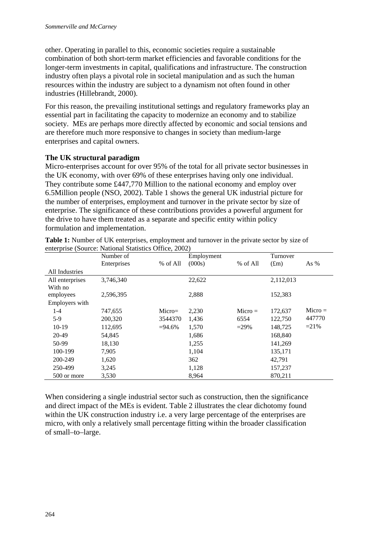other. Operating in parallel to this, economic societies require a sustainable combination of both short-term market efficiencies and favorable conditions for the longer-term investments in capital, qualifications and infrastructure. The construction industry often plays a pivotal role in societal manipulation and as such the human resources within the industry are subject to a dynamism not often found in other industries (Hillebrandt, 2000).

For this reason, the prevailing institutional settings and regulatory frameworks play an essential part in facilitating the capacity to modernize an economy and to stabilize society. MEs are perhaps more directly affected by economic and social tensions and are therefore much more responsive to changes in society than medium-large enterprises and capital owners.

## **The UK structural paradigm**

Micro-enterprises account for over 95% of the total for all private sector businesses in the UK economy, with over 69% of these enterprises having only one individual. They contribute some £447,770 Million to the national economy and employ over 6.5Million people (NSO, 2002). Table 1 shows the general UK industrial picture for the number of enterprises, employment and turnover in the private sector by size of enterprise. The significance of these contributions provides a powerful argument for the drive to have them treated as a separate and specific entity within policy formulation and implementation.

|                            | Number of   |            | Employment |           | Turnover          |           |
|----------------------------|-------------|------------|------------|-----------|-------------------|-----------|
|                            | Enterprises | % of All   | (000s)     | % of All  | (f <sub>m</sub> ) | As $%$    |
| All Industries             |             |            |            |           |                   |           |
| All enterprises<br>With no | 3,746,340   |            | 22,622     |           | 2,112,013         |           |
| employees                  | 2,596,395   |            | 2,888      |           | 152,383           |           |
| Employers with             |             |            |            |           |                   |           |
| $1-4$                      | 747,655     | $Micro=$   | 2,230      | $Micro =$ | 172,637           | $Micro =$ |
| $5-9$                      | 200,320     | 3544370    | 1,436      | 6554      | 122,750           | 447770    |
| $10-19$                    | 112,695     | $= 94.6\%$ | 1,570      | $= 29\%$  | 148,725           | $=21\%$   |
| 20-49                      | 54,845      |            | 1,686      |           | 168,840           |           |
| 50-99                      | 18,130      |            | 1,255      |           | 141,269           |           |
| 100-199                    | 7,905       |            | 1,104      |           | 135,171           |           |
| 200-249                    | 1,620       |            | 362        |           | 42,791            |           |
| 250-499                    | 3,245       |            | 1,128      |           | 157,237           |           |
| 500 or more                | 3,530       |            | 8,964      |           | 870,211           |           |

Table 1: Number of UK enterprises, employment and turnover in the private sector by size of enterprise (Source: National Statistics Office, 2002)

When considering a single industrial sector such as construction, then the significance and direct impact of the MEs is evident. Table 2 illustrates the clear dichotomy found within the UK construction industry i.e. a very large percentage of the enterprises are micro, with only a relatively small percentage fitting within the broader classification of small–to–large.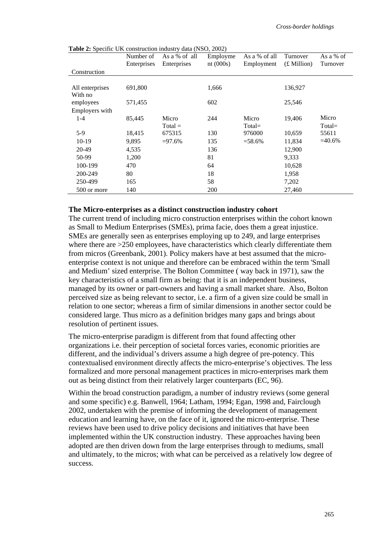**Table 2:** Specific UK construction industry data (NSO, 2002)

|                 | Number of<br>Enterprises | As a % of all<br>Enterprises | Employme<br>nt $(000s)$ | As a % of all<br>Employment | Turnover<br>$(E$ Million) | As a % of<br>Turnover |
|-----------------|--------------------------|------------------------------|-------------------------|-----------------------------|---------------------------|-----------------------|
| Construction    |                          |                              |                         |                             |                           |                       |
|                 |                          |                              |                         |                             |                           |                       |
| All enterprises | 691,800                  |                              | 1,666                   |                             | 136,927                   |                       |
| With no         |                          |                              |                         |                             |                           |                       |
| employees       | 571,455                  |                              | 602                     |                             | 25,546                    |                       |
| Employers with  |                          |                              |                         |                             |                           |                       |
| $1-4$           | 85,445                   | Micro                        | 244                     | Micro                       | 19,406                    | Micro                 |
|                 |                          | $Total =$                    |                         | $Total =$                   |                           | $Total =$             |
| $5-9$           | 18,415                   | 675315                       | 130                     | 976000                      | 10,659                    | 55611                 |
| $10-19$         | 9,895                    | $= 97.6%$                    | 135                     | $= 58.6\%$                  | 11,834                    | $=40.6%$              |
| 20-49           | 4,535                    |                              | 136                     |                             | 12,900                    |                       |
| 50-99           | 1,200                    |                              | 81                      |                             | 9,333                     |                       |
| 100-199         | 470                      |                              | 64                      |                             | 10,628                    |                       |
| 200-249         | 80                       |                              | 18                      |                             | 1,958                     |                       |
| 250-499         | 165                      |                              | 58                      |                             | 7,202                     |                       |
| 500 or more     | 140                      |                              | 200                     |                             | 27,460                    |                       |

#### **The Micro-enterprises as a distinct construction industry cohort**

The current trend of including micro construction enterprises within the cohort known as Small to Medium Enterprises (SMEs), prima facie, does them a great injustice. SMEs are generally seen as enterprises employing up to 249, and large enterprises where there are  $>250$  employees, have characteristics which clearly differentiate them from micros (Greenbank, 2001). Policy makers have at best assumed that the microenterprise context is not unique and therefore can be embraced within the term 'Small and Medium' sized enterprise. The Bolton Committee ( way back in 1971), saw the key characteristics of a small firm as being: that it is an independent business, managed by its owner or part-owners and having a small market share. Also, Bolton perceived size as being relevant to sector, i.e. a firm of a given size could be small in relation to one sector; whereas a firm of similar dimensions in another sector could be considered large. Thus micro as a definition bridges many gaps and brings about resolution of pertinent issues.

The micro-enterprise paradigm is different from that found affecting other organizations i.e. their perception of societal forces varies, economic priorities are different, and the individual's drivers assume a high degree of pre-potency. This contextualised environment directly affects the micro-enterprise's objectives. The less formalized and more personal management practices in micro-enterprises mark them out as being distinct from their relatively larger counterparts (EC, 96).

Within the broad construction paradigm, a number of industry reviews (some general and some specific) e.g. Banwell, 1964; Latham, 1994; Egan, 1998 and, Fairclough 2002, undertaken with the premise of informing the development of management education and learning have, on the face of it, ignored the micro-enterprise. These reviews have been used to drive policy decisions and initiatives that have been implemented within the UK construction industry. These approaches having been adopted are then driven down from the large enterprises through to mediums, small and ultimately, to the micros; with what can be perceived as a relatively low degree of success.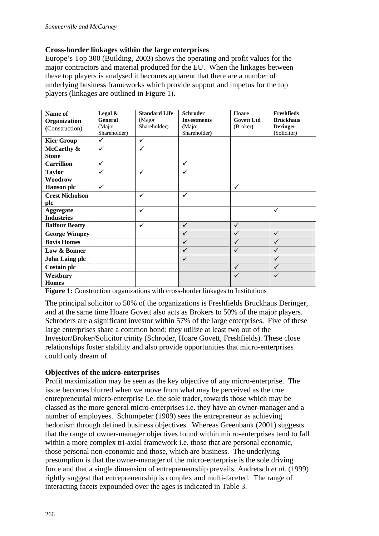## **Cross-border linkages within the large enterprises**

Europe's Top 300 (Building, 2003) shows the operating and profit values for the major contractors and material produced for the EU. When the linkages between these top players is analysed it becomes apparent that there are a number of underlying business frameworks which provide support and impetus for the top players (linkages are outlined in Figure 1).

| Name of                | Legal $&$    | <b>Standard Life</b> | <b>Schroder</b>    | Hoare             | <b>Freshfieds</b> |
|------------------------|--------------|----------------------|--------------------|-------------------|-------------------|
| Organization           | General      | (Major               | <b>Investments</b> | <b>Govett Ltd</b> | <b>Bruckhaus</b>  |
| (Construction)         | (Major       | Shareholder)         | (Major             | (Broker)          | <b>Deringer</b>   |
|                        | Shareholder) |                      | Shareholder)       |                   | (Solicitor)       |
| <b>Kier Group</b>      | ✓            | ✓                    |                    |                   |                   |
| McCarthy &             | ✓            | ✓                    |                    |                   |                   |
| <b>Stone</b>           |              |                      |                    |                   |                   |
| <b>Carrillion</b>      | $\checkmark$ |                      | ✓                  |                   |                   |
| <b>Taylor</b>          | ✓            | ✓                    | ✓                  |                   |                   |
| Woodrow                |              |                      |                    |                   |                   |
| <b>Hanson</b> plc      | $\checkmark$ |                      |                    | $\checkmark$      |                   |
| <b>Crest Nicholson</b> |              | ✓                    | ✓                  |                   |                   |
| plc                    |              |                      |                    |                   |                   |
| Aggregate              |              | ✓                    |                    |                   | $\checkmark$      |
| <b>Industries</b>      |              |                      |                    |                   |                   |
| <b>Balfour Beatty</b>  |              | ✓                    | $\checkmark$       | ✓                 |                   |
| <b>George Wimpey</b>   |              |                      |                    |                   | $\checkmark$      |
| <b>Bovis Homes</b>     |              |                      | ✓                  | ✓                 | $\checkmark$      |
| Low & Bonner           |              |                      |                    |                   | $\checkmark$      |
| <b>John Laing plc</b>  |              |                      | ✓                  |                   | $\checkmark$      |
| <b>Costain plc</b>     |              |                      |                    | ✓                 | $\checkmark$      |
| Westbury               |              |                      |                    | ✓                 | $\checkmark$      |
| <b>Homes</b>           |              |                      |                    |                   |                   |

**Figure 1:** Construction organizations with cross-border linkages to Institutions

The principal solicitor to 50% of the organizations is Freshfields Bruckhaus Deringer, and at the same time Hoare Govett also acts as Brokers to 50% of the major players. Schroders are a significant investor within 57% of the large enterprises. Five of these large enterprises share a common bond: they utilize at least two out of the Investor/Broker/Solicitor trinity (Schroder, Hoare Govett, Freshfields). These close relationships foster stability and also provide opportunities that micro-enterprises could only dream of.

### **Objectives of the micro-enterprises**

Profit maximization may be seen as the key objective of any micro-enterprise. The issue becomes blurred when we move from what may be perceived as the true entrepreneurial micro-enterprise i.e. the sole trader, towards those which may be classed as the more general micro-enterprises i.e. they have an owner-manager and a number of employees. Schumpeter (1909) sees the entrepreneur as achieving hedonism through defined business objectives. Whereas Greenbank (2001) suggests that the range of owner-manager objectives found within micro-enterprises tend to fall within a more complex tri-axial framework i.e. those that are personal economic, those personal non-economic and those, which are business. The underlying presumption is that the owner-manager of the micro-enterprise is the sole driving force and that a single dimension of entrepreneurship prevails. Audretsch *et al.* (1999) rightly suggest that entrepreneurship is complex and multi-faceted. The range of interacting facets expounded over the ages is indicated in Table 3.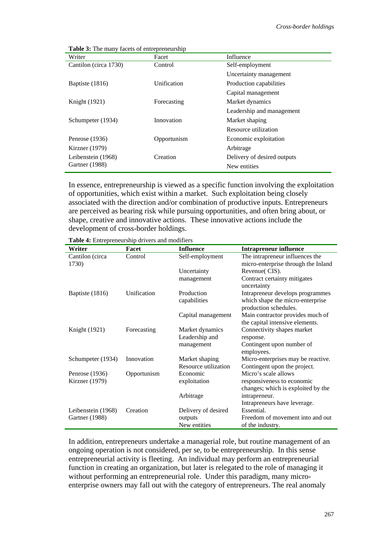| Writer                | Facet       | Influence                   |
|-----------------------|-------------|-----------------------------|
| Cantilon (circa 1730) | Control     | Self-employment             |
|                       |             | Uncertainty management      |
| Baptiste (1816)       | Unification | Production capabilities     |
|                       |             | Capital management          |
| Knight (1921)         | Forecasting | Market dynamics             |
|                       |             | Leadership and management   |
| Schumpeter (1934)     | Innovation  | Market shaping              |
|                       |             | Resource utilization        |
| Penrose (1936)        | Opportunism | Economic exploitation       |
| Kirzner $(1979)$      |             | Arbitrage                   |
| Leibenstein (1968)    | Creation    | Delivery of desired outputs |
| Gartner (1988)        |             | New entities                |

**Table 3:** The many facets of entrepreneurship

In essence, entrepreneurship is viewed as a specific function involving the exploitation of opportunities, which exist within a market. Such exploitation being closely associated with the direction and/or combination of productive inputs. Entrepreneurs are perceived as bearing risk while pursuing opportunities, and often bring about, or shape, creative and innovative actions. These innovative actions include the development of cross-border holdings.

| Writer             | Facet       | <b>Influence</b>     | <b>Intrapreneur influence</b>       |
|--------------------|-------------|----------------------|-------------------------------------|
| Cantilon (circa    | Control     | Self-employment      | The intrapreneur influences the     |
| 1730)              |             |                      | micro-enterprise through the Inland |
|                    |             | Uncertainty          | Revenue(CIS).                       |
|                    |             | management           | Contract certainty mitigates        |
|                    |             |                      | uncertainty                         |
| Baptiste (1816)    | Unification | Production           | Intrapreneur develops programmes    |
|                    |             | capabilities         | which shape the micro-enterprise    |
|                    |             |                      | production schedules.               |
|                    |             | Capital management   | Main contractor provides much of    |
|                    |             |                      | the capital intensive elements.     |
| Knight (1921)      | Forecasting | Market dynamics      | Connectivity shapes market          |
|                    |             | Leadership and       | response.                           |
|                    |             | management           | Contingent upon number of           |
|                    |             |                      | employees.                          |
| Schumpeter (1934)  | Innovation  | Market shaping       | Micro-enterprises may be reactive.  |
|                    |             | Resource utilization | Contingent upon the project.        |
| Penrose (1936)     | Opportunism | Economic             | Micro's scale allows                |
| Kirzner (1979)     |             | exploitation         | responsiveness to economic          |
|                    |             |                      | changes; which is exploited by the  |
|                    |             | Arbitrage            | intrapreneur.                       |
|                    |             |                      | Intrapreneurs have leverage.        |
| Leibenstein (1968) | Creation    | Delivery of desired  | Essential.                          |
| Gartner (1988)     |             | outputs              | Freedom of movement into and out    |
|                    |             | New entities         | of the industry.                    |

**Table 4:** Entrepreneurship drivers and modifiers

In addition, entrepreneurs undertake a managerial role, but routine management of an ongoing operation is not considered, per se, to be entrepreneurship. In this sense entrepreneurial activity is fleeting. An individual may perform an entrepreneurial function in creating an organization, but later is relegated to the role of managing it without performing an entrepreneurial role. Under this paradigm, many microenterprise owners may fall out with the category of entrepreneurs. The real anomaly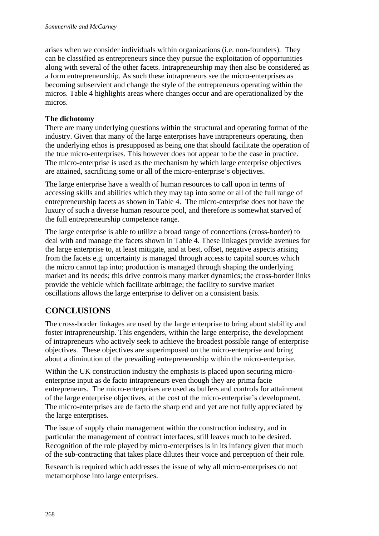arises when we consider individuals within organizations (i.e. non-founders). They can be classified as entrepreneurs since they pursue the exploitation of opportunities along with several of the other facets. Intrapreneurship may then also be considered as a form entrepreneurship. As such these intrapreneurs see the micro-enterprises as becoming subservient and change the style of the entrepreneurs operating within the micros. Table 4 highlights areas where changes occur and are operationalized by the micros.

## **The dichotomy**

There are many underlying questions within the structural and operating format of the industry. Given that many of the large enterprises have intrapreneurs operating, then the underlying ethos is presupposed as being one that should facilitate the operation of the true micro-enterprises. This however does not appear to be the case in practice. The micro-enterprise is used as the mechanism by which large enterprise objectives are attained, sacrificing some or all of the micro-enterprise's objectives.

The large enterprise have a wealth of human resources to call upon in terms of accessing skills and abilities which they may tap into some or all of the full range of entrepreneurship facets as shown in Table 4. The micro-enterprise does not have the luxury of such a diverse human resource pool, and therefore is somewhat starved of the full entrepreneurship competence range.

The large enterprise is able to utilize a broad range of connections (cross-border) to deal with and manage the facets shown in Table 4. These linkages provide avenues for the large enterprise to, at least mitigate, and at best, offset, negative aspects arising from the facets e.g. uncertainty is managed through access to capital sources which the micro cannot tap into; production is managed through shaping the underlying market and its needs; this drive controls many market dynamics; the cross-border links provide the vehicle which facilitate arbitrage; the facility to survive market oscillations allows the large enterprise to deliver on a consistent basis.

# **CONCLUSIONS**

The cross-border linkages are used by the large enterprise to bring about stability and foster intrapreneurship. This engenders, within the large enterprise, the development of intrapreneurs who actively seek to achieve the broadest possible range of enterprise objectives. These objectives are superimposed on the micro-enterprise and bring about a diminution of the prevailing entrepreneurship within the micro-enterprise.

Within the UK construction industry the emphasis is placed upon securing microenterprise input as de facto intrapreneurs even though they are prima facie entrepreneurs. The micro-enterprises are used as buffers and controls for attainment of the large enterprise objectives, at the cost of the micro-enterprise's development. The micro-enterprises are de facto the sharp end and yet are not fully appreciated by the large enterprises.

The issue of supply chain management within the construction industry, and in particular the management of contract interfaces, still leaves much to be desired. Recognition of the role played by micro-enterprises is in its infancy given that much of the sub-contracting that takes place dilutes their voice and perception of their role.

Research is required which addresses the issue of why all micro-enterprises do not metamorphose into large enterprises.